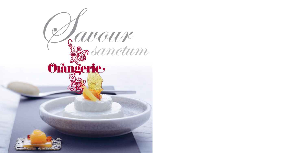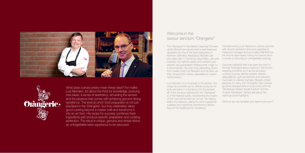# Welcome in the savour sanctum "Orangerie"

The "Orangerie" in the Maritim Seehotel Timmendorfer Strand has earned itself a well-deserved reputation as one of the best restaurants in Northern Germany. Awarded a Michelin star and rated with 17 points by Gault Millau, genuine it comes to ensuring an unforgettable evening. creativity, the highest quality and masterful preparation are guaranteed. Working their magic in a show kitchen, the only thing separating diners from master chef Lutz Niemann and his team as they conjure their culinary specialties is a panorama window.

Gourmet highlights that truly open the door to the real "Orangerie savour sanctum" are mouthwatering moments such as the exclusive cooking courses, kitchen parties, diverse degustations, golf tournaments and selected tours akin to culinary journeys. Already a fixed favourite for many, the "Orangerie" also creates gourmet arrangements in conjunction with the "Schleswig-Holstein Musik Festival" and the "Eutiner Festspiele". Simply ask about this year's gourmet highlights. We trust we can tantalise your taste buds soon?

Lutz Niemann is a composer in the kitchen, the range his orchestra as he skilfully conducts his pots and pans in a symphony for the senses. All of the produce selected for the "Orangerie" is of the highest quality, representing the cream of the crop and is fresh as can be. His menus reflect the seasons, taking the best ingredients available and masterfully transforming dishes beyond the traditional into tantalising.

Complementing Lutz Niemann's culinary acumen with service perfection and wine expertise is restaurant manager and sommelier, Ralf Brönner. He and his team leave nothing to chance when





What does culinary artistry mean these days? For maître Lutz Niemann, it's about the thirst for knowledge, pursuing new ideas, a sense of aesthetics, simulating the senses and the pleasure that comes with achieving genuine dining excellence. The level at which food preparation is not just practised in the 'Orangerie', but truly celebrated, takes good cooking beyond a master craft and transforms it into an art form. His recipe for success combines fresh ingredients with produce-specific preparation and cooking perfection. The result is unique, genuine and simply divine: an unforgettable taste experience to be savoured.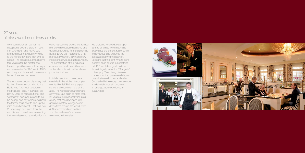Awarded a Michelin star for his exceptional cooking skills in 1994, the "Orangerie" and maître Lutz Niemann have now been living up to the honour for more than two decades. The prestigious award came four years after the master chef teamed up with restaurant manager and sommelier Ralf Brönner in 1990. A culinary match made in heaven as prove inspirational. far as diners are concerned.

wavering cooking excellence, refined His profound knowledge as it permenus with exquisite highlights and delightful surprises for the discerning always has the perfect red or white palate. Every dish represents a harmonious symphony in which every ingredient serves its subtle purpose. The combination of the individual courses also seduces with unconventional combinations that always

The journey of degust discovery that led Lutz Niemann from Harz to the Baltic wasn't without its detours – the Praia do Forte, in Salvador de Bahia, Brasil to name but one. The "Orangerie" however, proved to be his calling, one day welcoming back the former sous-chef to take up the reins as its head chef. That was over 25 years ago and since then, he and his team have been maintaining from the restaurant's wine menu their well-deserved reputation for un-are stored in the cellar.

Lutz Niemann's competence and creativity in the kitchen is complemented by Ralf Brönner's experience and expertise in the dining area. The restaurant manager and sommelier lays claim to more than 25 years of professional wine proficiency that has developed into genuine mastery. Alongside rare drops from around the world, over 400 selected reds and whites

tains to all things wine means he to harmonise and enhance the specialties leaving the kitchen. Selecting just the right wine to complement each course is something Ralf Brönner takes great pride in. It's an integral part of the "Orangerie" philosophy: True dining pleasure comes from the quintessential symbiosis between kitchen and cellar. Coupled with the exceptional service amidst a fabulous atmosphere, an unforgettable experience is guaranteed.



## 20 years of star-awarded culinary artistry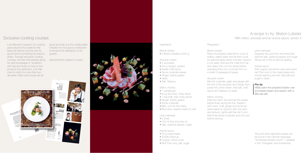Lutz Niemann's passion for cooking goes beyond the creations that leave his kitchen and his love for good food is something he loves to share. Through exclusive cooking courses, the star chef passes along Appointments subject to inquiry. his vast knowledge to "students", with tips and tricks on how to turn produce into perfection. Lutz Niemann's motto for more than two decades: Stars and toques are all

good and well, but the undisputable indicator for how good a restaurant is remains the satisfaction of its guests.

- 1 cantaloupe
- 50 g red onion, finely diced
- 1 red chilli, mild, finely sliced
- Ginger, freshly grated
- Some coriander
- Mint, cut into fine strips
- Rice wine, sesame seed oil, salt

## Exclusive cooking courses

- 50 g mayonnaise
- Tomato ketchup
- Cognac, lemon juice
- Red Thai curry, salt, sugar

### A recipe to try: Breton Lobster *With melon, avocado and an aurora sauce, serves 4*

### *Ingredients*

*Breton lobster*

• 4 Breton lobsters à 500 g

*Avocado cream*

- 2 avocados
- 40 g mangos, peeled
- Sweet chilli sauce
- Some coriander leaves
- Ginger, freshly grated
- Garlic
- Salt, Tabasco

#### *Melon chutney*

Squeeze the juice from the limes then add the salt, cayenne pepper and sugar. Slowly stir in the oil without beating.

#### *Lime marinade*

Add cognac and lemon juice and some red Thai curry to the mayonnaise and tomato ketchup and stir. Add salt and sugar to taste.

- 2 limes
- 100 ml lime and olive oil
- Salt, cayenne pepper, sugar

*Aurora sauce*

Mildly warm the prepared lobster over aromatised steam and season with a little sea salt.

### *Preparation*

*Breton lobster*

Place the lobsters head first in a pot of boiling, salted water and let them cook for approximately seven minutes. Quench in ice water. Remove the meat from tail and claws then cut into slices before arranging them into a circular form on a sheet of greaseproof paper.

*Avocado cream* Mix the coriander, garlic and ginger with the fruit of the avocado and mango then puree into a fine cream. Add salt, chilli sauce and Tabasco to taste.

*Melon chutney* Peel the melon and remove the seeds before finely dicing the fruit. Sweat it with onion, chilli, ginger and some sesame seed oil. Quench with rice wine and reduce. Lightly salt then let it cool. Add finely sliced coriander and mint just before serving.

#### *Lime marinade*

#### *Aurora sauce*

#### *Pro tip*

This and other selected recipes can be found in the German language "Schleswig-Holstein kocht" – available in the "Orangerie" and bookstores.



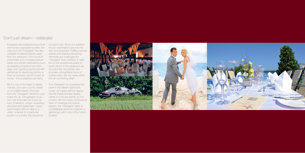Equipped with perfected know-how and honed organisational skills, the crew from the "Orangerie" are also available for special events away from the restaurant. From product presentations to company anniversaries and private celebrations such as wedding receptions and birthdays, from sporting events and VIP gatherings to discerning picnics or even an exclusive dinner for two at home – the possibilities are many.

Be it in one of the region's stately manors, at a rustic country estate or on a Baltic beach: the team from the "Orangerie" transform your event into an unforgettable occasion that embodies all of your values. Endearing, unique, surprising, exclusive and passionate – every event begins with an idea or a vision, a desire for a particular location or a motto that should be

brought to life. We're not satisfied till your expectations are not only met, but exceeded. Fulfilling special wishes and realising discerning demands are challenges the "Orangerie" team relishes. In addition to the exceptional quality to which diners in the restaurant are accustomed, the kitchen also provides unforgettable hours of culinary bliss. We turn every event into an enchanting affair!

The "Orangerie" is considered the jewel in the Maritim Seehotel's crown, so it goes without saying that the restaurant also flexibly caters to in-house events. In conjunction with the hotel's professional team of meetings and events experts, the "Orangerie" adds an unmistakable gourmet character to gatherings held in any of the hotel's facilities.



## Don't just dream – celebrate!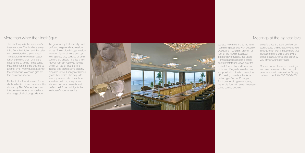## More than wine: the vinothèque

The vinothèque is the restaurant's treasure trove. This is where everything from the kitchen and the cellar can be ordered and purchased. This affords diners with an opportunity to prolong their "Orangerie" experience by taking home consumable mementos to be enjoyed at another time. Many guests also visit the vinothèque to acquire gifts for that someone special.

Further to the fine wines and formidable selection of world-class spirits chosen by Ralf Brönner, the vinothèque also stocks a comprehensive range of fabulous goods from

We give new meaning to the term, "combining business with pleasure". Occupying 100 sq.m. on the 10th floor of the Maritim Seehotel Timmendorfer Strand, the Salon Hamburg affords meeting participants breathtaking views over the entire Lübeck Bay and the scenic hinterland. Elegantly furnished and equipped with climate control, the VIP meeting room is suitable for gatherings of up to 30 people. For those requiring more space, the whole floor with seven business suites can be booked.

the gastronomy that normally can't be found in generally accessible stores. The choice is huge: seafood including fish of all kinds and oysters, spices, juicy saddles of lamb, suckling pig cheek – it's like a mini market normally reserved for star chefs. On top of that, the vinothèque also carries items expertly prepared in the "Orangerie" kitchen: goose liver terrine, the exquisite sauce you raved about last time you dined with us, sumptuous starters, delicious desserts and perfect petit fours. Indulge in the restaurant's special service.



## Meetings at the highest level

We afford you the latest conference technologies and our attentive service in conjunction with a meeting rate that includes catering during your event, coffee breaks, lunches and dinner by way of the "Orangerie" team.

Our staff for conferences, meetings and events are more than happy to provide you with information. Simply call us on: +49 (0)4503 605-2405.